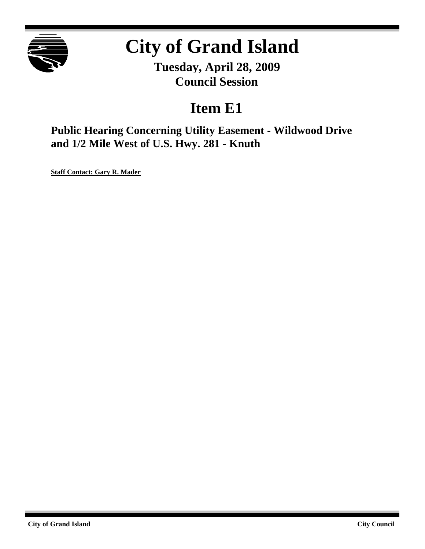

# **City of Grand Island**

**Tuesday, April 28, 2009 Council Session**

# **Item E1**

**Public Hearing Concerning Utility Easement - Wildwood Drive and 1/2 Mile West of U.S. Hwy. 281 - Knuth**

**Staff Contact: Gary R. Mader**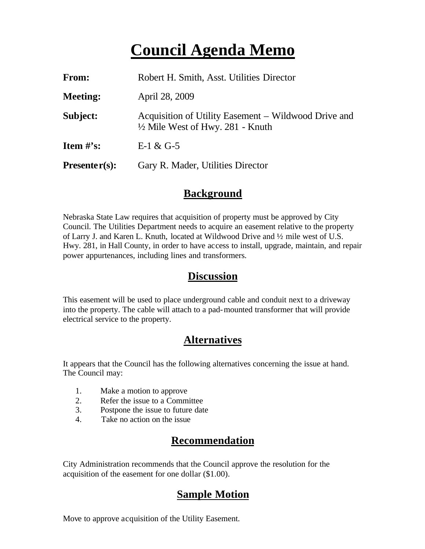# **Council Agenda Memo**

| From:           | Robert H. Smith, Asst. Utilities Director                                                           |
|-----------------|-----------------------------------------------------------------------------------------------------|
| <b>Meeting:</b> | April 28, 2009                                                                                      |
| Subject:        | Acquisition of Utility Easement – Wildwood Drive and<br>$\frac{1}{2}$ Mile West of Hwy. 281 - Knuth |
| Item $\#$ 's:   | $E-1 & 0.6 - 5$                                                                                     |
| $Presenter(s):$ | Gary R. Mader, Utilities Director                                                                   |

#### **Background**

Nebraska State Law requires that acquisition of property must be approved by City Council. The Utilities Department needs to acquire an easement relative to the property of Larry J. and Karen L. Knuth, located at Wildwood Drive and ½ mile west of U.S. Hwy. 281, in Hall County, in order to have access to install, upgrade, maintain, and repair power appurtenances, including lines and transformers.

#### **Discussion**

This easement will be used to place underground cable and conduit next to a driveway into the property. The cable will attach to a pad-mounted transformer that will provide electrical service to the property.

### **Alternatives**

It appears that the Council has the following alternatives concerning the issue at hand. The Council may:

- 1. Make a motion to approve
- 2. Refer the issue to a Committee
- 3. Postpone the issue to future date
- 4. Take no action on the issue

#### **Recommendation**

City Administration recommends that the Council approve the resolution for the acquisition of the easement for one dollar (\$1.00).

### **Sample Motion**

Move to approve acquisition of the Utility Easement.